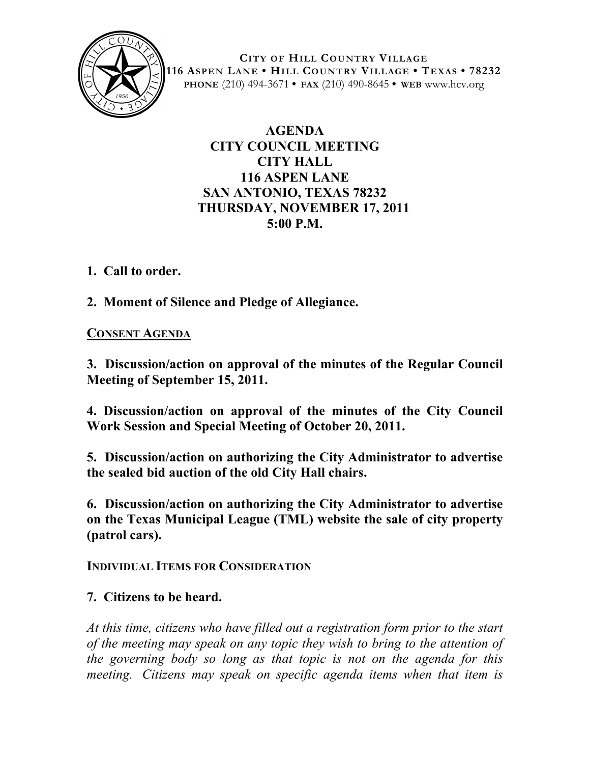

**CITY OF HILL COUNTRY VILLAGE 116 ASPEN LANE • HILL COUNTRY VILLAGE • TEXAS • 78232 PHONE** (210) 494-3671 **• FAX** (210) 490-8645 **• WEB** www.hcv.org

# **AGENDA CITY COUNCIL MEETING CITY HALL 116 ASPEN LANE SAN ANTONIO, TEXAS 78232 THURSDAY, NOVEMBER 17, 2011 5:00 P.M.**

**1. Call to order.**

**2. Moment of Silence and Pledge of Allegiance.**

### **CONSENT AGENDA**

**3. Discussion/action on approval of the minutes of the Regular Council Meeting of September 15, 2011.**

**4. Discussion/action on approval of the minutes of the City Council Work Session and Special Meeting of October 20, 2011.**

**5. Discussion/action on authorizing the City Administrator to advertise the sealed bid auction of the old City Hall chairs.**

**6. Discussion/action on authorizing the City Administrator to advertise on the Texas Municipal League (TML) website the sale of city property (patrol cars).**

**INDIVIDUAL ITEMS FOR CONSIDERATION**

# **7. Citizens to be heard.**

*At this time, citizens who have filled out a registration form prior to the start of the meeting may speak on any topic they wish to bring to the attention of the governing body so long as that topic is not on the agenda for this meeting. Citizens may speak on specific agenda items when that item is*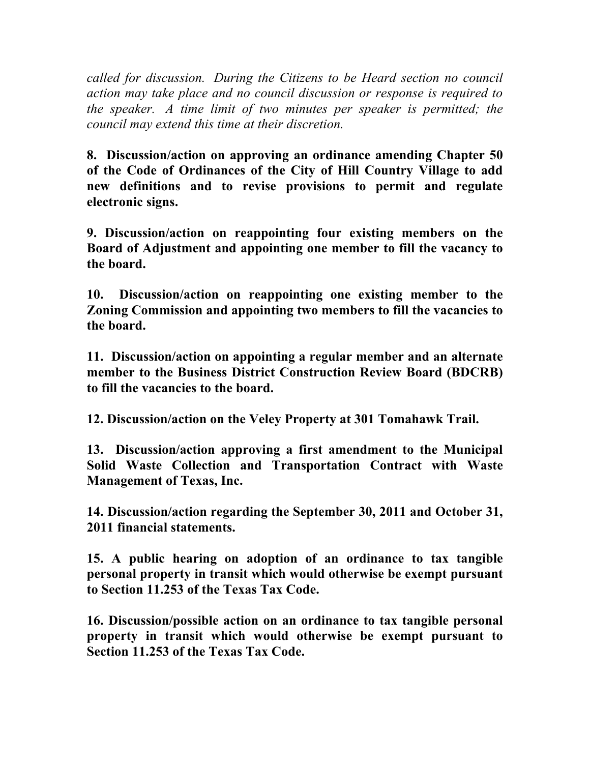*called for discussion. During the Citizens to be Heard section no council action may take place and no council discussion or response is required to the speaker. A time limit of two minutes per speaker is permitted; the council may extend this time at their discretion.*

**8. Discussion/action on approving an ordinance amending Chapter 50 of the Code of Ordinances of the City of Hill Country Village to add new definitions and to revise provisions to permit and regulate electronic signs.**

**9. Discussion/action on reappointing four existing members on the Board of Adjustment and appointing one member to fill the vacancy to the board.**

**10. Discussion/action on reappointing one existing member to the Zoning Commission and appointing two members to fill the vacancies to the board.**

**11. Discussion/action on appointing a regular member and an alternate member to the Business District Construction Review Board (BDCRB) to fill the vacancies to the board.**

**12. Discussion/action on the Veley Property at 301 Tomahawk Trail.**

**13. Discussion/action approving a first amendment to the Municipal Solid Waste Collection and Transportation Contract with Waste Management of Texas, Inc.**

**14. Discussion/action regarding the September 30, 2011 and October 31, 2011 financial statements.**

**15. A public hearing on adoption of an ordinance to tax tangible personal property in transit which would otherwise be exempt pursuant to Section 11.253 of the Texas Tax Code.**

**16. Discussion/possible action on an ordinance to tax tangible personal property in transit which would otherwise be exempt pursuant to Section 11.253 of the Texas Tax Code.**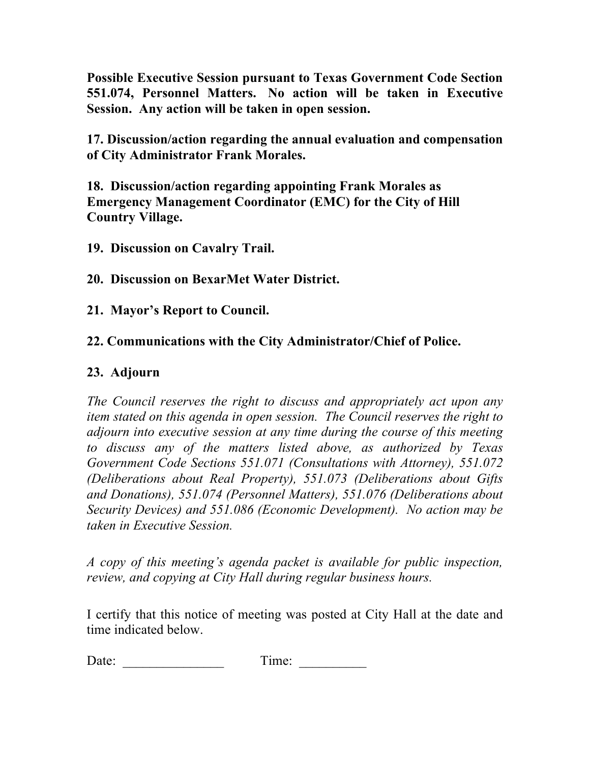**Possible Executive Session pursuant to Texas Government Code Section 551.074, Personnel Matters. No action will be taken in Executive Session. Any action will be taken in open session.**

**17. Discussion/action regarding the annual evaluation and compensation of City Administrator Frank Morales.**

**18. Discussion/action regarding appointing Frank Morales as Emergency Management Coordinator (EMC) for the City of Hill Country Village.** 

**19. Discussion on Cavalry Trail.**

**20. Discussion on BexarMet Water District.**

**21. Mayor's Report to Council.**

### **22. Communications with the City Administrator/Chief of Police.**

### **23. Adjourn**

*The Council reserves the right to discuss and appropriately act upon any item stated on this agenda in open session. The Council reserves the right to adjourn into executive session at any time during the course of this meeting to discuss any of the matters listed above, as authorized by Texas Government Code Sections 551.071 (Consultations with Attorney), 551.072 (Deliberations about Real Property), 551.073 (Deliberations about Gifts and Donations), 551.074 (Personnel Matters), 551.076 (Deliberations about Security Devices) and 551.086 (Economic Development). No action may be taken in Executive Session.*

*A copy of this meeting's agenda packet is available for public inspection, review, and copying at City Hall during regular business hours.*

I certify that this notice of meeting was posted at City Hall at the date and time indicated below.

Date: Time: